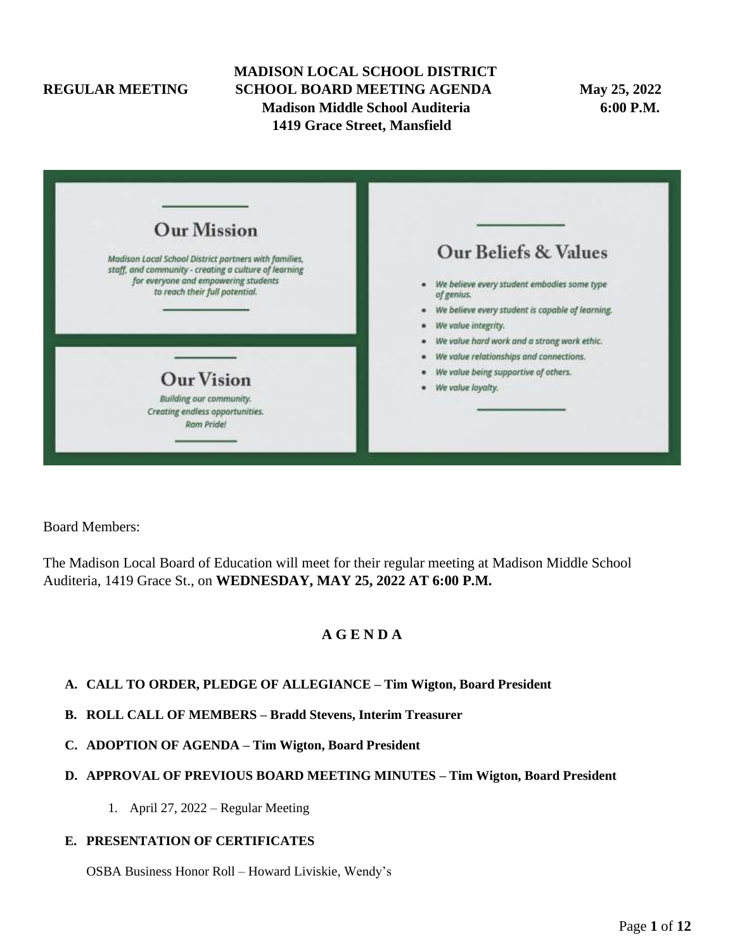# **MADISON LOCAL SCHOOL DISTRICT REGULAR MEETING SCHOOL BOARD MEETING AGENDA May 25, 2022 Madison Middle School Auditeria 6:00 P.M. 1419 Grace Street, Mansfield**

| <b>Our Mission</b>                                                                                             |                                                           |
|----------------------------------------------------------------------------------------------------------------|-----------------------------------------------------------|
| Madison Local School District partners with families,<br>staff, and community - creating a culture of learning | Our Beliefs & Values                                      |
| for everyone and empowering students<br>to reach their full potential.                                         | We believe every student embodies some type<br>of genius. |
|                                                                                                                | We believe every student is capable of learning.          |
|                                                                                                                | We value integrity.                                       |
|                                                                                                                | We value hard work and a strong work ethic.               |
|                                                                                                                | We value relationships and connections.                   |
| <b>Our Vision</b>                                                                                              | We value being supportive of others.                      |
|                                                                                                                | We value loyalty.                                         |
| Building our community.<br>Creating endless opportunities.<br>Ram Pride!                                       |                                                           |
|                                                                                                                |                                                           |

Board Members:

The Madison Local Board of Education will meet for their regular meeting at Madison Middle School Auditeria, 1419 Grace St., on **WEDNESDAY, MAY 25, 2022 AT 6:00 P.M.**

# **A G E N D A**

## **A. CALL TO ORDER, PLEDGE OF ALLEGIANCE – Tim Wigton, Board President**

- **B. ROLL CALL OF MEMBERS – Bradd Stevens, Interim Treasurer**
- **C. ADOPTION OF AGENDA – Tim Wigton, Board President**

#### **D. APPROVAL OF PREVIOUS BOARD MEETING MINUTES – Tim Wigton, Board President**

1. April 27, 2022 – Regular Meeting

#### **E. PRESENTATION OF CERTIFICATES**

OSBA Business Honor Roll – Howard Liviskie, Wendy's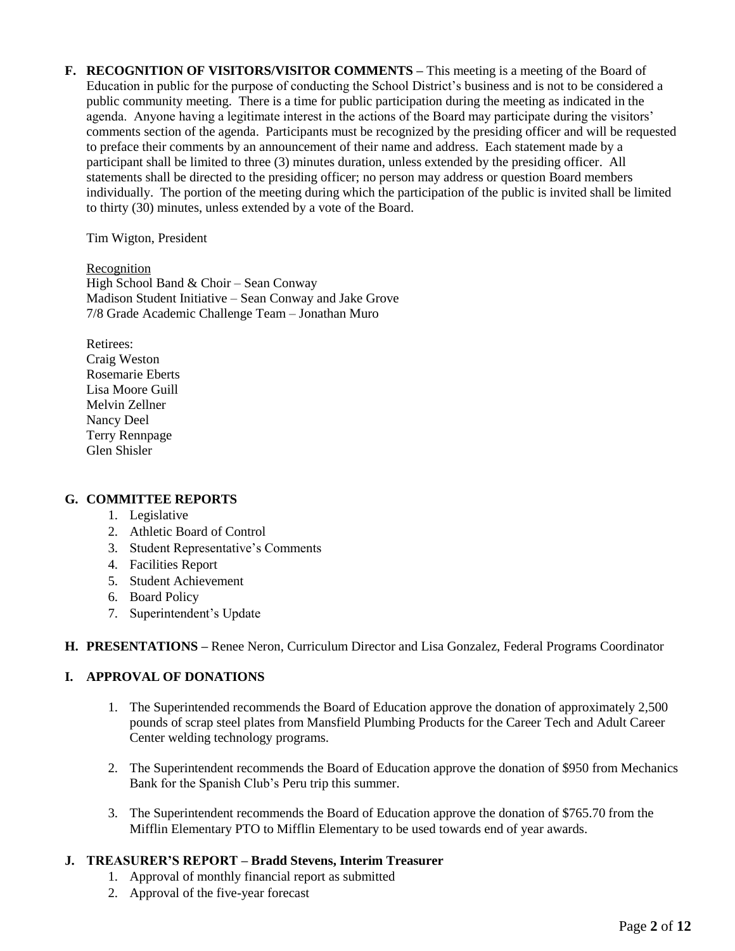**F. RECOGNITION OF VISITORS/VISITOR COMMENTS –** This meeting is a meeting of the Board of Education in public for the purpose of conducting the School District's business and is not to be considered a public community meeting. There is a time for public participation during the meeting as indicated in the agenda. Anyone having a legitimate interest in the actions of the Board may participate during the visitors' comments section of the agenda. Participants must be recognized by the presiding officer and will be requested to preface their comments by an announcement of their name and address. Each statement made by a participant shall be limited to three (3) minutes duration, unless extended by the presiding officer. All statements shall be directed to the presiding officer; no person may address or question Board members individually. The portion of the meeting during which the participation of the public is invited shall be limited to thirty (30) minutes, unless extended by a vote of the Board.

Tim Wigton, President

Recognition High School Band & Choir – Sean Conway Madison Student Initiative – Sean Conway and Jake Grove 7/8 Grade Academic Challenge Team – Jonathan Muro

Retirees: Craig Weston Rosemarie Eberts Lisa Moore Guill Melvin Zellner Nancy Deel Terry Rennpage Glen Shisler

## **G. COMMITTEE REPORTS**

- 1. Legislative
- 2. Athletic Board of Control
- 3. Student Representative's Comments
- 4. Facilities Report
- 5. Student Achievement
- 6. Board Policy
- 7. Superintendent's Update

#### **H. PRESENTATIONS –** Renee Neron, Curriculum Director and Lisa Gonzalez, Federal Programs Coordinator

#### **I. APPROVAL OF DONATIONS**

- 1. The Superintended recommends the Board of Education approve the donation of approximately 2,500 pounds of scrap steel plates from Mansfield Plumbing Products for the Career Tech and Adult Career Center welding technology programs.
- 2. The Superintendent recommends the Board of Education approve the donation of \$950 from Mechanics Bank for the Spanish Club's Peru trip this summer.
- 3. The Superintendent recommends the Board of Education approve the donation of \$765.70 from the Mifflin Elementary PTO to Mifflin Elementary to be used towards end of year awards.

## **J. TREASURER'S REPORT – Bradd Stevens, Interim Treasurer**

- 1. Approval of monthly financial report as submitted
- 2. Approval of the five-year forecast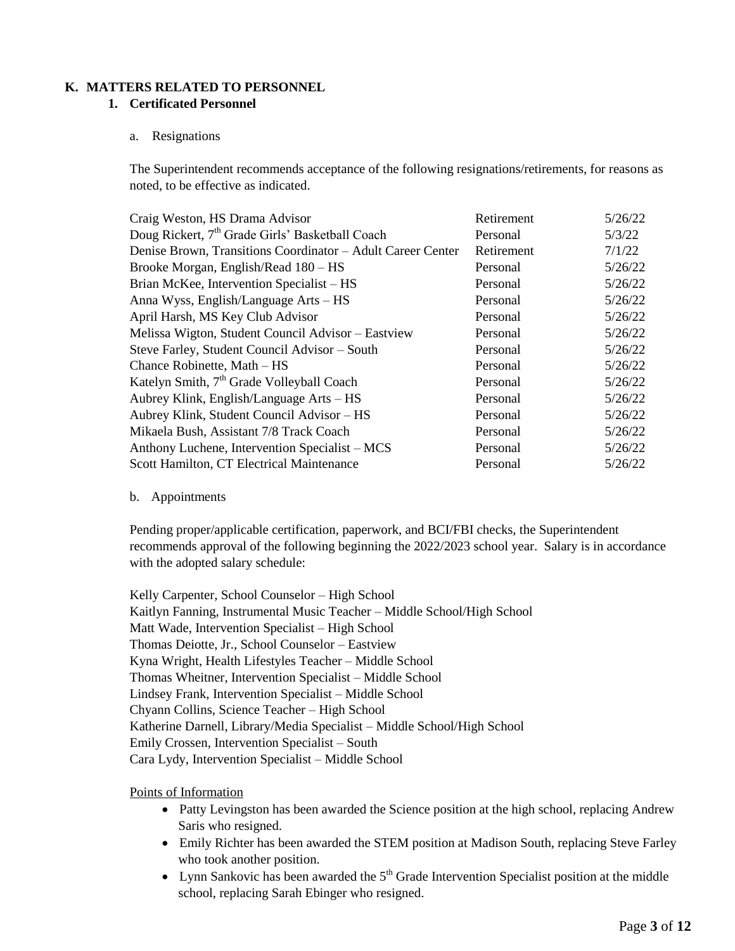## **K. MATTERS RELATED TO PERSONNEL**

### **1. Certificated Personnel**

#### a. Resignations

The Superintendent recommends acceptance of the following resignations/retirements, for reasons as noted, to be effective as indicated.

| Craig Weston, HS Drama Advisor                              | Retirement | 5/26/22 |
|-------------------------------------------------------------|------------|---------|
| Doug Rickert, 7 <sup>th</sup> Grade Girls' Basketball Coach | Personal   | 5/3/22  |
| Denise Brown, Transitions Coordinator - Adult Career Center | Retirement | 7/1/22  |
| Brooke Morgan, English/Read 180 – HS                        | Personal   | 5/26/22 |
| Brian McKee, Intervention Specialist – HS                   | Personal   | 5/26/22 |
| Anna Wyss, English/Language Arts – HS                       | Personal   | 5/26/22 |
| April Harsh, MS Key Club Advisor                            | Personal   | 5/26/22 |
| Melissa Wigton, Student Council Advisor - Eastview          | Personal   | 5/26/22 |
| Steve Farley, Student Council Advisor - South               | Personal   | 5/26/22 |
| Chance Robinette, Math - HS                                 | Personal   | 5/26/22 |
| Katelyn Smith, 7 <sup>th</sup> Grade Volleyball Coach       | Personal   | 5/26/22 |
| Aubrey Klink, English/Language Arts – HS                    | Personal   | 5/26/22 |
| Aubrey Klink, Student Council Advisor - HS                  | Personal   | 5/26/22 |
| Mikaela Bush, Assistant 7/8 Track Coach                     | Personal   | 5/26/22 |
| Anthony Luchene, Intervention Specialist – MCS              | Personal   | 5/26/22 |
| Scott Hamilton, CT Electrical Maintenance                   | Personal   | 5/26/22 |

#### b. Appointments

Pending proper/applicable certification, paperwork, and BCI/FBI checks, the Superintendent recommends approval of the following beginning the 2022/2023 school year. Salary is in accordance with the adopted salary schedule:

Kelly Carpenter, School Counselor – High School Kaitlyn Fanning, Instrumental Music Teacher – Middle School/High School Matt Wade, Intervention Specialist – High School Thomas Deiotte, Jr., School Counselor – Eastview Kyna Wright, Health Lifestyles Teacher – Middle School Thomas Wheitner, Intervention Specialist – Middle School Lindsey Frank, Intervention Specialist – Middle School Chyann Collins, Science Teacher – High School Katherine Darnell, Library/Media Specialist – Middle School/High School Emily Crossen, Intervention Specialist – South Cara Lydy, Intervention Specialist – Middle School

## Points of Information

- Patty Levingston has been awarded the Science position at the high school, replacing Andrew Saris who resigned.
- Emily Richter has been awarded the STEM position at Madison South, replacing Steve Farley who took another position.
- Lynn Sankovic has been awarded the  $5<sup>th</sup>$  Grade Intervention Specialist position at the middle school, replacing Sarah Ebinger who resigned.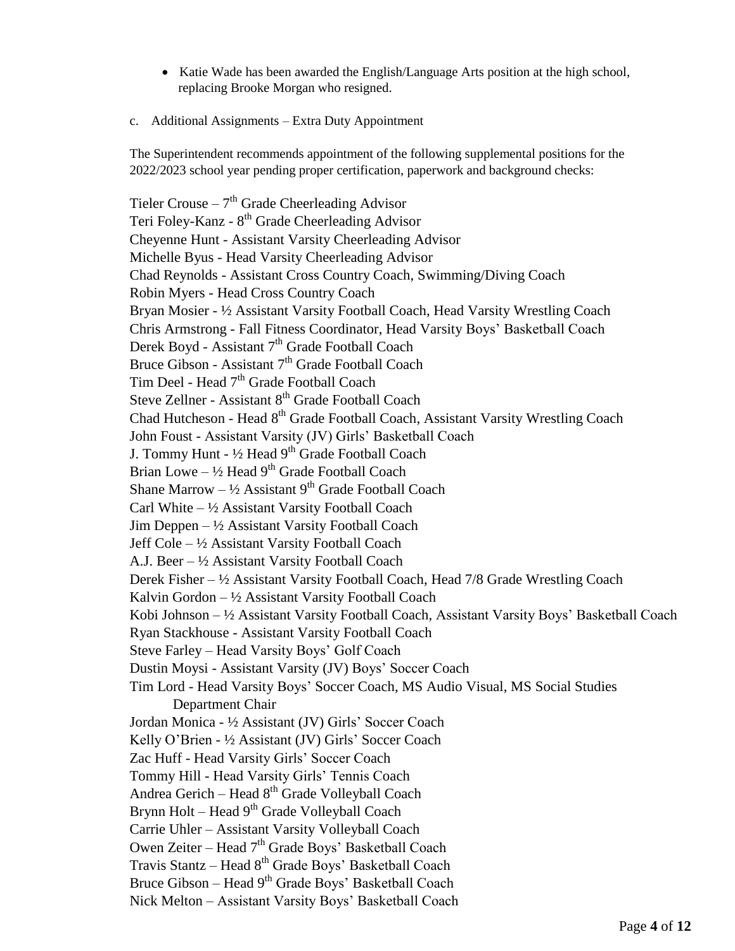- Katie Wade has been awarded the English/Language Arts position at the high school, replacing Brooke Morgan who resigned.
- c. Additional Assignments Extra Duty Appointment

The Superintendent recommends appointment of the following supplemental positions for the 2022/2023 school year pending proper certification, paperwork and background checks:

Tieler Crouse  $-7<sup>th</sup>$  Grade Cheerleading Advisor Teri Foley-Kanz - 8<sup>th</sup> Grade Cheerleading Advisor Cheyenne Hunt - Assistant Varsity Cheerleading Advisor Michelle Byus - Head Varsity Cheerleading Advisor Chad Reynolds - Assistant Cross Country Coach, Swimming/Diving Coach Robin Myers - Head Cross Country Coach Bryan Mosier - ½ Assistant Varsity Football Coach, Head Varsity Wrestling Coach Chris Armstrong - Fall Fitness Coordinator, Head Varsity Boys' Basketball Coach Derek Boyd - Assistant 7<sup>th</sup> Grade Football Coach Bruce Gibson - Assistant 7<sup>th</sup> Grade Football Coach Tim Deel - Head 7<sup>th</sup> Grade Football Coach Steve Zellner - Assistant 8<sup>th</sup> Grade Football Coach Chad Hutcheson - Head 8<sup>th</sup> Grade Football Coach, Assistant Varsity Wrestling Coach John Foust - Assistant Varsity (JV) Girls' Basketball Coach J. Tommy Hunt - 1/2 Head 9<sup>th</sup> Grade Football Coach Brian Lowe  $-$  1/2 Head  $9<sup>th</sup>$  Grade Football Coach Shane Marrow  $- \frac{1}{2}$  Assistant 9<sup>th</sup> Grade Football Coach Carl White  $-\frac{1}{2}$  Assistant Varsity Football Coach Jim Deppen  $-\frac{1}{2}$  Assistant Varsity Football Coach Jeff Cole – ½ Assistant Varsity Football Coach A.J. Beer – ½ Assistant Varsity Football Coach Derek Fisher – ½ Assistant Varsity Football Coach, Head 7/8 Grade Wrestling Coach Kalvin Gordon  $-\frac{1}{2}$  Assistant Varsity Football Coach Kobi Johnson – ½ Assistant Varsity Football Coach, Assistant Varsity Boys' Basketball Coach Ryan Stackhouse - Assistant Varsity Football Coach Steve Farley – Head Varsity Boys' Golf Coach Dustin Moysi - Assistant Varsity (JV) Boys' Soccer Coach Tim Lord - Head Varsity Boys' Soccer Coach, MS Audio Visual, MS Social Studies Department Chair Jordan Monica - ½ Assistant (JV) Girls' Soccer Coach Kelly O'Brien - ½ Assistant (JV) Girls' Soccer Coach Zac Huff - Head Varsity Girls' Soccer Coach Tommy Hill - Head Varsity Girls' Tennis Coach Andrea Gerich – Head 8th Grade Volleyball Coach Brynn Holt – Head 9<sup>th</sup> Grade Volleyball Coach Carrie Uhler – Assistant Varsity Volleyball Coach Owen Zeiter – Head  $7<sup>th</sup>$  Grade Boys' Basketball Coach Travis Stantz – Head 8<sup>th</sup> Grade Boys' Basketball Coach Bruce Gibson – Head 9<sup>th</sup> Grade Boys' Basketball Coach Nick Melton – Assistant Varsity Boys' Basketball Coach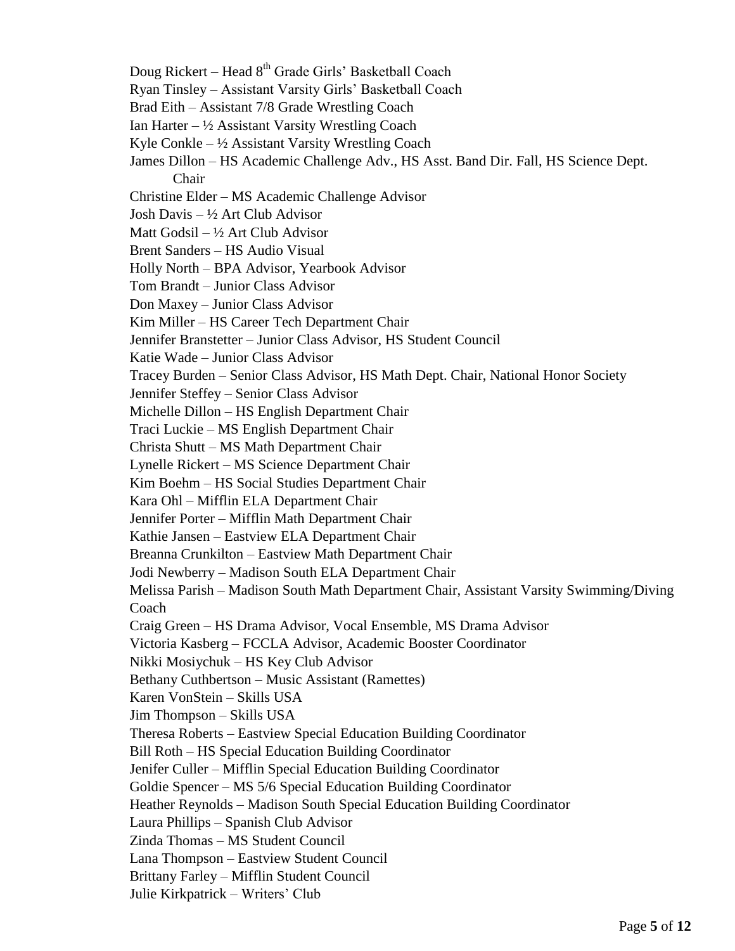- Doug Rickert Head 8<sup>th</sup> Grade Girls' Basketball Coach
- Ryan Tinsley Assistant Varsity Girls' Basketball Coach
- Brad Eith Assistant 7/8 Grade Wrestling Coach
- Ian Harter  $-\frac{1}{2}$  Assistant Varsity Wrestling Coach
- Kyle Conkle  $-\frac{1}{2}$  Assistant Varsity Wrestling Coach
- James Dillon HS Academic Challenge Adv., HS Asst. Band Dir. Fall, HS Science Dept. Chair
- Christine Elder MS Academic Challenge Advisor
- Josh Davis ½ Art Club Advisor
- Matt Godsil ½ Art Club Advisor
- Brent Sanders HS Audio Visual
- Holly North BPA Advisor, Yearbook Advisor
- Tom Brandt Junior Class Advisor
- Don Maxey Junior Class Advisor
- Kim Miller HS Career Tech Department Chair
- Jennifer Branstetter Junior Class Advisor, HS Student Council
- Katie Wade Junior Class Advisor
- Tracey Burden Senior Class Advisor, HS Math Dept. Chair, National Honor Society
- Jennifer Steffey Senior Class Advisor
- Michelle Dillon HS English Department Chair
- Traci Luckie MS English Department Chair
- Christa Shutt MS Math Department Chair
- Lynelle Rickert MS Science Department Chair
- Kim Boehm HS Social Studies Department Chair
- Kara Ohl Mifflin ELA Department Chair
- Jennifer Porter Mifflin Math Department Chair
- Kathie Jansen Eastview ELA Department Chair
- Breanna Crunkilton Eastview Math Department Chair
- Jodi Newberry Madison South ELA Department Chair
- Melissa Parish Madison South Math Department Chair, Assistant Varsity Swimming/Diving **Coach**
- Craig Green HS Drama Advisor, Vocal Ensemble, MS Drama Advisor
- Victoria Kasberg FCCLA Advisor, Academic Booster Coordinator
- Nikki Mosiychuk HS Key Club Advisor
- Bethany Cuthbertson Music Assistant (Ramettes)
- Karen VonStein Skills USA
- Jim Thompson Skills USA
- Theresa Roberts Eastview Special Education Building Coordinator
- Bill Roth HS Special Education Building Coordinator
- Jenifer Culler Mifflin Special Education Building Coordinator
- Goldie Spencer MS 5/6 Special Education Building Coordinator
- Heather Reynolds Madison South Special Education Building Coordinator
- Laura Phillips Spanish Club Advisor
- Zinda Thomas MS Student Council
- Lana Thompson Eastview Student Council
- Brittany Farley Mifflin Student Council
- Julie Kirkpatrick Writers' Club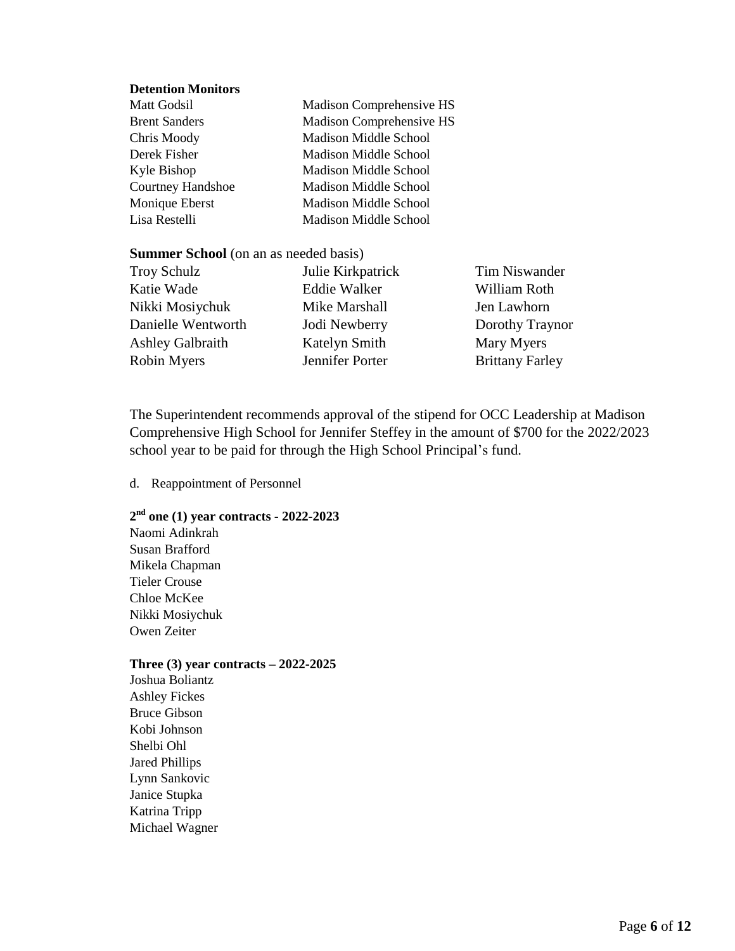#### **Detention Monitors**

| Matt Godsil              | Madison Comprehensive HS        |
|--------------------------|---------------------------------|
| <b>Brent Sanders</b>     | <b>Madison Comprehensive HS</b> |
| Chris Moody              | Madison Middle School           |
| Derek Fisher             | <b>Madison Middle School</b>    |
| Kyle Bishop              | <b>Madison Middle School</b>    |
| <b>Courtney Handshoe</b> | <b>Madison Middle School</b>    |
| Monique Eberst           | Madison Middle School           |
| Lisa Restelli            | <b>Madison Middle School</b>    |

#### **Summer School** (on an as needed basis)

| <b>Troy Schulz</b> | Julie Kirkpatrick |
|--------------------|-------------------|
| Katie Wade         | Eddie Walker      |
| Nikki Mosiychuk    | Mike Marshall     |
| Danielle Wentworth | Jodi Newberry     |
| Ashley Galbraith   | Katelyn Smith     |
| Robin Myers        | Jennifer Porter   |

Tim Niswander William Roth Jen Lawhorn Dorothy Traynor Mary Myers Brittany Farley

The Superintendent recommends approval of the stipend for OCC Leadership at Madison Comprehensive High School for Jennifer Steffey in the amount of \$700 for the 2022/2023 school year to be paid for through the High School Principal's fund.

#### d. Reappointment of Personnel

## **2 nd one (1) year contracts - 2022-2023**

Naomi Adinkrah Susan Brafford Mikela Chapman Tieler Crouse Chloe McKee Nikki Mosiychuk Owen Zeiter

#### **Three (3) year contracts – 2022-2025**

Joshua Boliantz Ashley Fickes Bruce Gibson Kobi Johnson Shelbi Ohl Jared Phillips Lynn Sankovic Janice Stupka Katrina Tripp Michael Wagner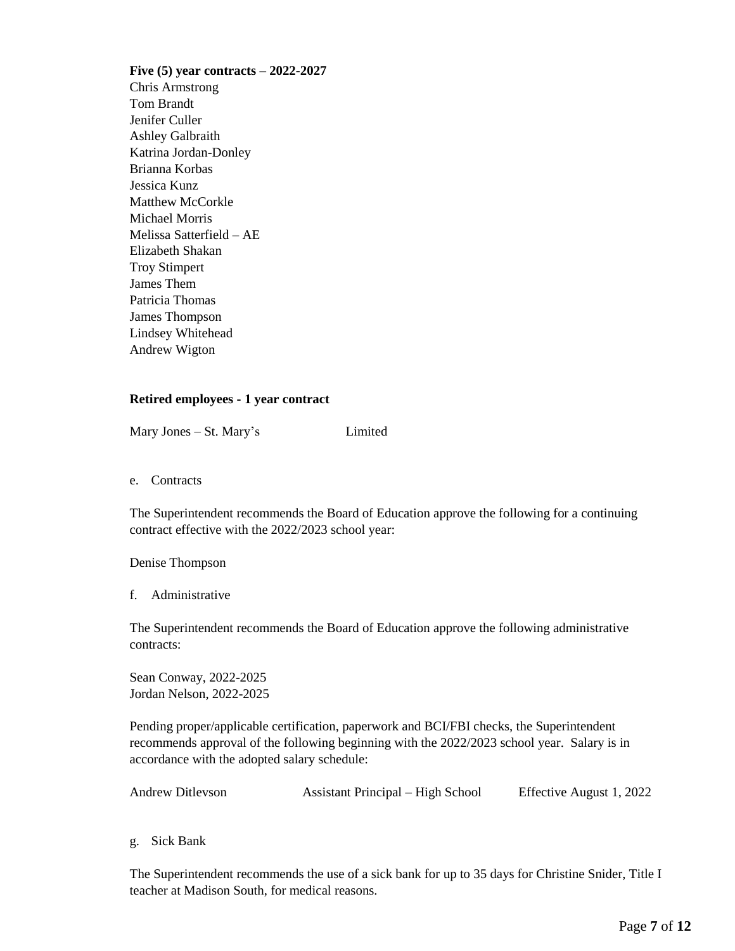**Five (5) year contracts – 2022-2027** Chris Armstrong Tom Brandt Jenifer Culler Ashley Galbraith Katrina Jordan-Donley Brianna Korbas Jessica Kunz Matthew McCorkle Michael Morris Melissa Satterfield – AE Elizabeth Shakan Troy Stimpert James Them Patricia Thomas James Thompson Lindsey Whitehead Andrew Wigton

#### **Retired employees - 1 year contract**

Mary Jones – St. Mary's Limited

e. Contracts

The Superintendent recommends the Board of Education approve the following for a continuing contract effective with the 2022/2023 school year:

#### Denise Thompson

f. Administrative

The Superintendent recommends the Board of Education approve the following administrative contracts:

Sean Conway, 2022-2025 Jordan Nelson, 2022-2025

Pending proper/applicable certification, paperwork and BCI/FBI checks, the Superintendent recommends approval of the following beginning with the 2022/2023 school year. Salary is in accordance with the adopted salary schedule:

| <b>Andrew Ditleyson</b> | Assistant Principal – High School | Effective August 1, 2022 |
|-------------------------|-----------------------------------|--------------------------|
|-------------------------|-----------------------------------|--------------------------|

g. Sick Bank

The Superintendent recommends the use of a sick bank for up to 35 days for Christine Snider, Title I teacher at Madison South, for medical reasons.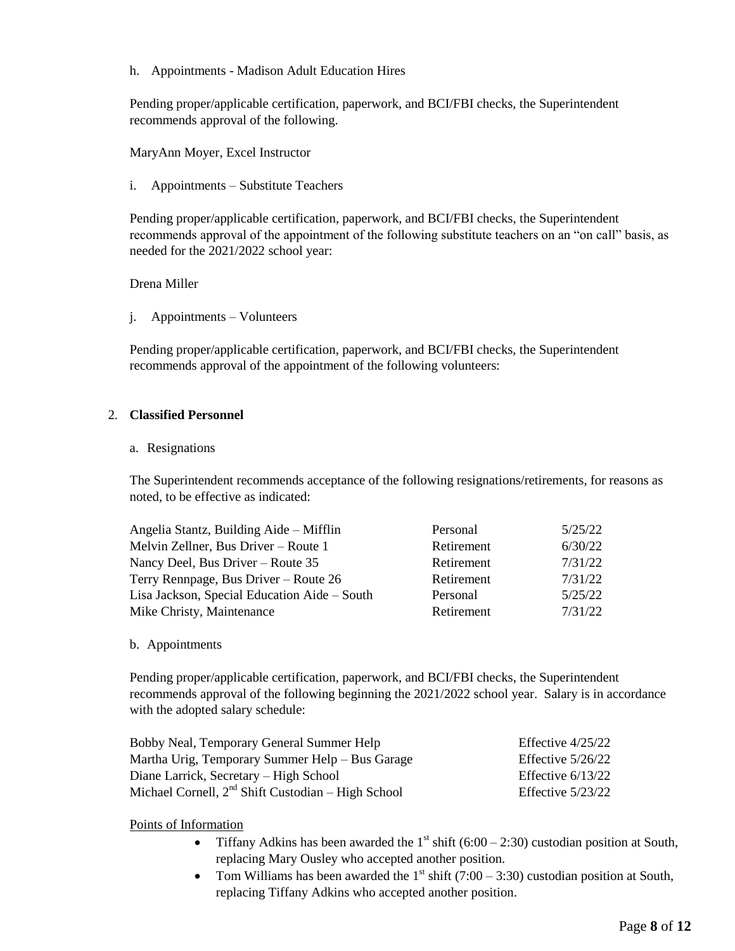h. Appointments - Madison Adult Education Hires

Pending proper/applicable certification, paperwork, and BCI/FBI checks, the Superintendent recommends approval of the following.

MaryAnn Moyer, Excel Instructor

i. Appointments – Substitute Teachers

Pending proper/applicable certification, paperwork, and BCI/FBI checks, the Superintendent recommends approval of the appointment of the following substitute teachers on an "on call" basis, as needed for the 2021/2022 school year:

Drena Miller

j. Appointments – Volunteers

Pending proper/applicable certification, paperwork, and BCI/FBI checks, the Superintendent recommends approval of the appointment of the following volunteers:

## 2. **Classified Personnel**

#### a. Resignations

The Superintendent recommends acceptance of the following resignations/retirements, for reasons as noted, to be effective as indicated:

| Angelia Stantz, Building Aide – Mifflin      | Personal   | 5/25/22 |
|----------------------------------------------|------------|---------|
| Melvin Zellner, Bus Driver – Route 1         | Retirement | 6/30/22 |
| Nancy Deel, Bus Driver – Route 35            | Retirement | 7/31/22 |
| Terry Rennpage, Bus Driver – Route 26        | Retirement | 7/31/22 |
| Lisa Jackson, Special Education Aide – South | Personal   | 5/25/22 |
| Mike Christy, Maintenance                    | Retirement | 7/31/22 |

#### b. Appointments

Pending proper/applicable certification, paperwork, and BCI/FBI checks, the Superintendent recommends approval of the following beginning the 2021/2022 school year. Salary is in accordance with the adopted salary schedule:

| Bobby Neal, Temporary General Summer Help            | Effective $4/25/22$ |
|------------------------------------------------------|---------------------|
| Martha Urig, Temporary Summer Help – Bus Garage      | Effective $5/26/22$ |
| Diane Larrick, Secretary – High School               | Effective $6/13/22$ |
| Michael Cornell, $2nd$ Shift Custodian – High School | Effective $5/23/22$ |

#### Points of Information

- Tiffany Adkins has been awarded the  $1<sup>st</sup> shift (6:00 2:30) custodian position at South,$ replacing Mary Ousley who accepted another position.
- Tom Williams has been awarded the  $1<sup>st</sup> shift (7:00 3:30) custodian position at South,$ replacing Tiffany Adkins who accepted another position.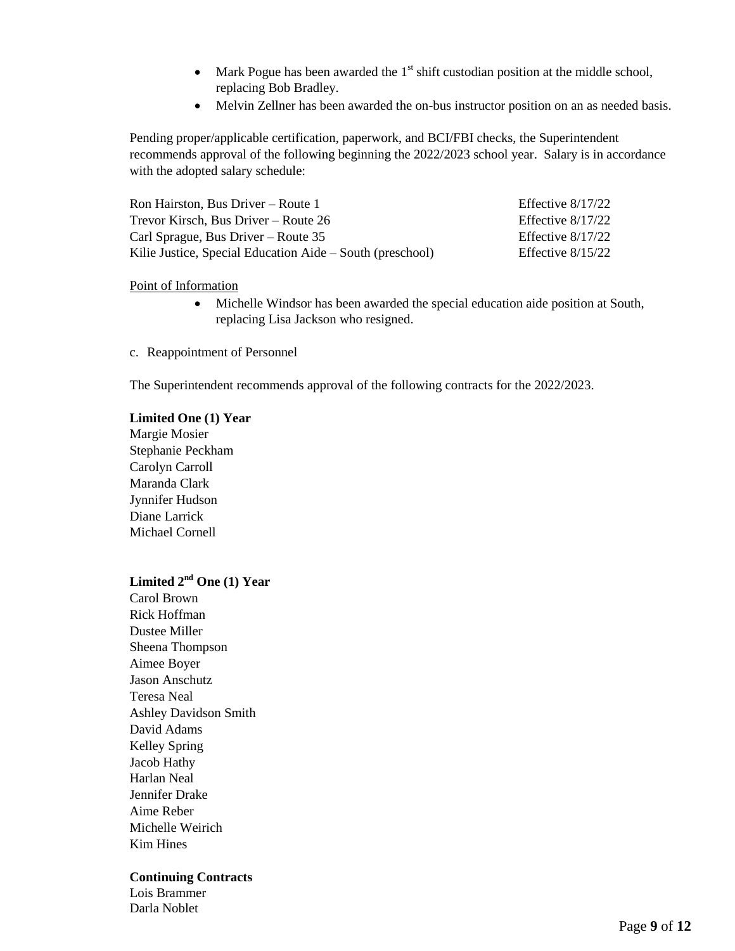- Mark Pogue has been awarded the  $1<sup>st</sup>$  shift custodian position at the middle school, replacing Bob Bradley.
- Melvin Zellner has been awarded the on-bus instructor position on an as needed basis.

Pending proper/applicable certification, paperwork, and BCI/FBI checks, the Superintendent recommends approval of the following beginning the 2022/2023 school year. Salary is in accordance with the adopted salary schedule:

| Ron Hairston, Bus Driver – Route $1$                      | Effective $8/17/22$ |
|-----------------------------------------------------------|---------------------|
| Trevor Kirsch, Bus Driver – Route 26                      | Effective $8/17/22$ |
| Carl Sprague, Bus Driver – Route $35$                     | Effective $8/17/22$ |
| Kilie Justice, Special Education Aide – South (preschool) | Effective $8/15/22$ |

#### Point of Information

- Michelle Windsor has been awarded the special education aide position at South, replacing Lisa Jackson who resigned.
- c. Reappointment of Personnel

The Superintendent recommends approval of the following contracts for the 2022/2023.

## **Limited One (1) Year** Margie Mosier Stephanie Peckham Carolyn Carroll Maranda Clark Jynnifer Hudson Diane Larrick Michael Cornell

## **Limited 2nd One (1) Year**

Carol Brown Rick Hoffman Dustee Miller Sheena Thompson Aimee Boyer Jason Anschutz Teresa Neal Ashley Davidson Smith David Adams Kelley Spring Jacob Hathy Harlan Neal Jennifer Drake Aime Reber Michelle Weirich Kim Hines

#### **Continuing Contracts**

Lois Brammer Darla Noblet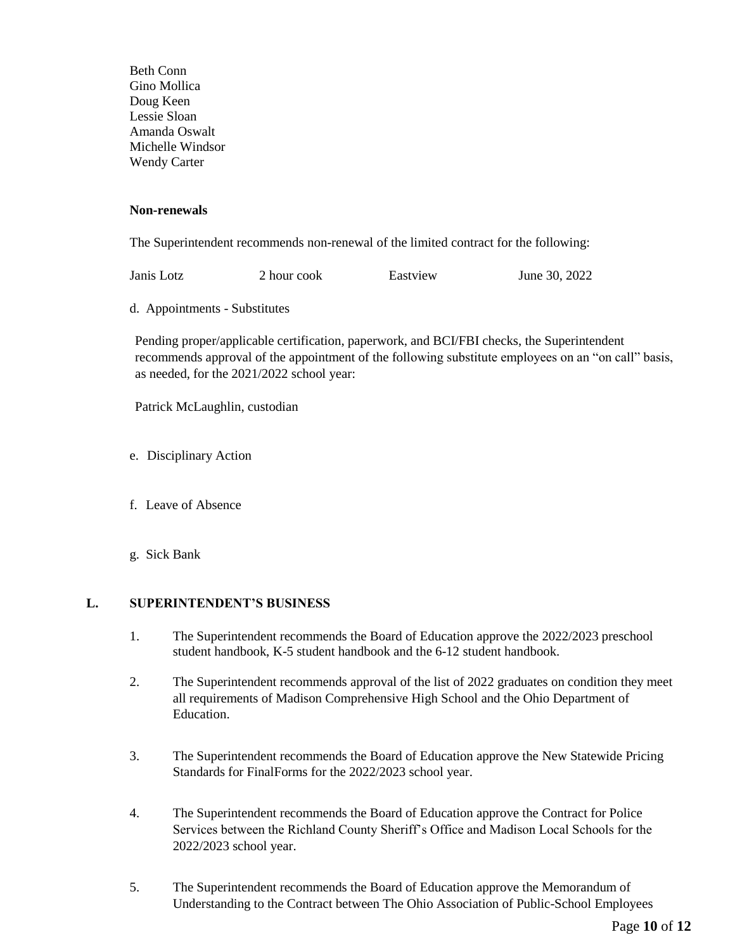Beth Conn Gino Mollica Doug Keen Lessie Sloan Amanda Oswalt Michelle Windsor Wendy Carter

#### **Non-renewals**

The Superintendent recommends non-renewal of the limited contract for the following:

Janis Lotz 2 hour cook Eastview June 30, 2022

d. Appointments - Substitutes

Pending proper/applicable certification, paperwork, and BCI/FBI checks, the Superintendent recommends approval of the appointment of the following substitute employees on an "on call" basis, as needed, for the 2021/2022 school year:

Patrick McLaughlin, custodian

- e. Disciplinary Action
- f. Leave of Absence
- g. Sick Bank

#### **L. SUPERINTENDENT'S BUSINESS**

- 1. The Superintendent recommends the Board of Education approve the 2022/2023 preschool student handbook, K-5 student handbook and the 6-12 student handbook.
- 2. The Superintendent recommends approval of the list of 2022 graduates on condition they meet all requirements of Madison Comprehensive High School and the Ohio Department of Education.
- 3. The Superintendent recommends the Board of Education approve the New Statewide Pricing Standards for FinalForms for the 2022/2023 school year.
- 4. The Superintendent recommends the Board of Education approve the Contract for Police Services between the Richland County Sheriff's Office and Madison Local Schools for the 2022/2023 school year.
- 5. The Superintendent recommends the Board of Education approve the Memorandum of Understanding to the Contract between The Ohio Association of Public-School Employees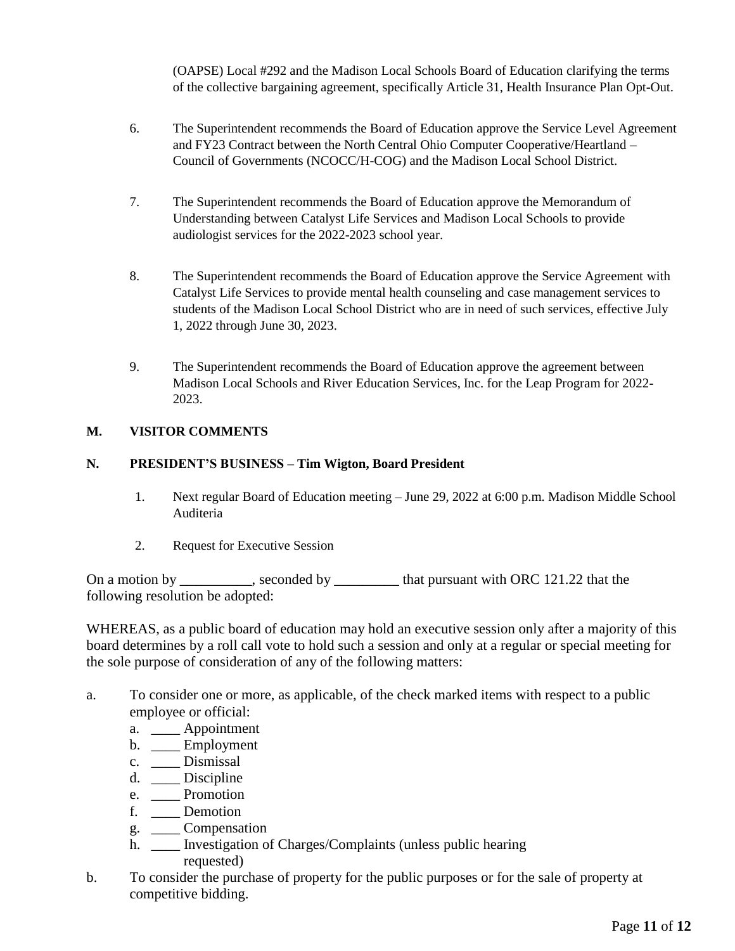(OAPSE) Local #292 and the Madison Local Schools Board of Education clarifying the terms of the collective bargaining agreement, specifically Article 31, Health Insurance Plan Opt-Out.

- 6. The Superintendent recommends the Board of Education approve the Service Level Agreement and FY23 Contract between the North Central Ohio Computer Cooperative/Heartland – Council of Governments (NCOCC/H-COG) and the Madison Local School District.
- 7. The Superintendent recommends the Board of Education approve the Memorandum of Understanding between Catalyst Life Services and Madison Local Schools to provide audiologist services for the 2022-2023 school year.
- 8. The Superintendent recommends the Board of Education approve the Service Agreement with Catalyst Life Services to provide mental health counseling and case management services to students of the Madison Local School District who are in need of such services, effective July 1, 2022 through June 30, 2023.
- 9. The Superintendent recommends the Board of Education approve the agreement between Madison Local Schools and River Education Services, Inc. for the Leap Program for 2022- 2023.

## **M. VISITOR COMMENTS**

## **N. PRESIDENT'S BUSINESS – Tim Wigton, Board President**

- 1. Next regular Board of Education meeting June 29, 2022 at 6:00 p.m. Madison Middle School Auditeria
- 2. Request for Executive Session

On a motion by \_\_\_\_\_\_\_\_, seconded by \_\_\_\_\_\_\_\_ that pursuant with ORC 121.22 that the following resolution be adopted:

WHEREAS, as a public board of education may hold an executive session only after a majority of this board determines by a roll call vote to hold such a session and only at a regular or special meeting for the sole purpose of consideration of any of the following matters:

- a. To consider one or more, as applicable, of the check marked items with respect to a public employee or official:
	- a. \_\_\_\_ Appointment
	- b. \_\_\_\_ Employment
	- c. \_\_\_\_ Dismissal
	- d. \_\_\_\_ Discipline
	- e. \_\_\_\_ Promotion
	- f. \_\_\_\_ Demotion
	- g. \_\_\_\_ Compensation
	- h. \_\_\_\_ Investigation of Charges/Complaints (unless public hearing requested)
- b. To consider the purchase of property for the public purposes or for the sale of property at competitive bidding.